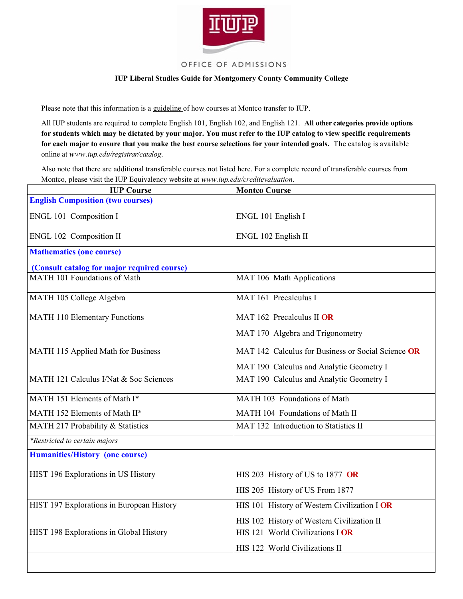

## OFFICE OF ADMISSIONS

## **IUP Liberal Studies Guide for Montgomery County Community College**

Please note that this information is a guideline of how courses at Montco transfer to IUP.

All IUP students are required to complete English 101, English 102, and English 121. **All other categories provide options for students which may be dictated by your major. You must refer to the IUP catalog to view specific requirements for each major to ensure that you make the best course selections for your intended goals.** The catalog is available online at *www.iup.edu/registrar/catalog*.

Also note that there are additional transferable courses not listed here. For a complete record of transferable courses from Montco, please visit the IUP Equivalency website at *www.iup.edu/creditevaluation*.

| <b>IUP Course</b>                           | <b>Montco Course</b>                               |
|---------------------------------------------|----------------------------------------------------|
| <b>English Composition (two courses)</b>    |                                                    |
| ENGL 101 Composition I                      | ENGL 101 English I                                 |
| ENGL 102 Composition II                     | ENGL 102 English II                                |
| <b>Mathematics (one course)</b>             |                                                    |
| (Consult catalog for major required course) |                                                    |
| MATH 101 Foundations of Math                | MAT 106 Math Applications                          |
| MATH 105 College Algebra                    | MAT 161 Precalculus I                              |
| <b>MATH 110 Elementary Functions</b>        | MAT 162 Precalculus II OR                          |
|                                             | MAT 170 Algebra and Trigonometry                   |
| MATH 115 Applied Math for Business          | MAT 142 Calculus for Business or Social Science OR |
|                                             | MAT 190 Calculus and Analytic Geometry I           |
| MATH 121 Calculus I/Nat & Soc Sciences      | MAT 190 Calculus and Analytic Geometry I           |
| MATH 151 Elements of Math I*                | MATH 103 Foundations of Math                       |
| MATH 152 Elements of Math II*               | MATH 104 Foundations of Math II                    |
| MATH 217 Probability & Statistics           | MAT 132 Introduction to Statistics II              |
| *Restricted to certain majors               |                                                    |
| <b>Humanities/History (one course)</b>      |                                                    |
| HIST 196 Explorations in US History         | HIS 203 History of US to 1877 OR                   |
|                                             | HIS 205 History of US From 1877                    |
| HIST 197 Explorations in European History   | HIS 101 History of Western Civilization I OR       |
|                                             | HIS 102 History of Western Civilization II         |
| HIST 198 Explorations in Global History     | HIS 121 World Civilizations I OR                   |
|                                             | HIS 122 World Civilizations II                     |
|                                             |                                                    |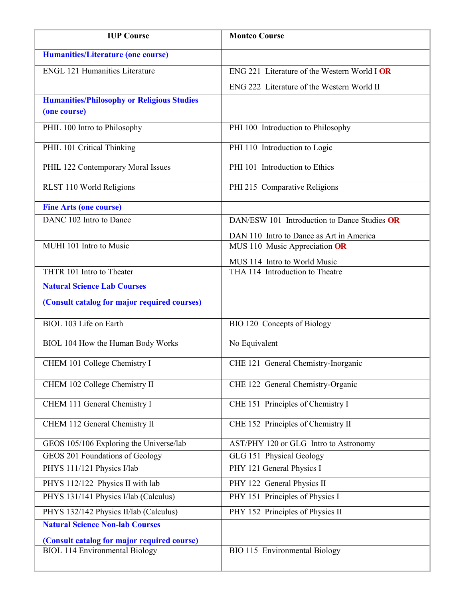| <b>IUP Course</b>                                                 | <b>Montco Course</b>                                                      |
|-------------------------------------------------------------------|---------------------------------------------------------------------------|
| <b>Humanities/Literature (one course)</b>                         |                                                                           |
| <b>ENGL 121 Humanities Literature</b>                             | ENG 221 Literature of the Western World I OR                              |
|                                                                   | ENG 222 Literature of the Western World II                                |
| <b>Humanities/Philosophy or Religious Studies</b><br>(one course) |                                                                           |
| PHIL 100 Intro to Philosophy                                      | PHI 100 Introduction to Philosophy                                        |
| PHIL 101 Critical Thinking                                        | PHI 110 Introduction to Logic                                             |
| PHIL 122 Contemporary Moral Issues                                | PHI 101 Introduction to Ethics                                            |
| RLST 110 World Religions                                          | PHI 215 Comparative Religions                                             |
| <b>Fine Arts (one course)</b>                                     |                                                                           |
| DANC 102 Intro to Dance                                           | DAN/ESW 101 Introduction to Dance Studies OR                              |
| MUHI 101 Intro to Music                                           | DAN 110 Intro to Dance as Art in America<br>MUS 110 Music Appreciation OR |
| THTR 101 Intro to Theater                                         | MUS 114 Intro to World Music<br>THA 114 Introduction to Theatre           |
| <b>Natural Science Lab Courses</b>                                |                                                                           |
| (Consult catalog for major required courses)                      |                                                                           |
| BIOL 103 Life on Earth                                            | BIO 120 Concepts of Biology                                               |
| BIOL 104 How the Human Body Works                                 | No Equivalent                                                             |
| CHEM 101 College Chemistry I                                      | CHE 121 General Chemistry-Inorganic                                       |
| CHEM 102 College Chemistry II                                     | CHE 122 General Chemistry-Organic                                         |
| CHEM 111 General Chemistry I                                      | CHE 151 Principles of Chemistry I                                         |
| CHEM 112 General Chemistry II                                     | CHE 152 Principles of Chemistry II                                        |
| GEOS 105/106 Exploring the Universe/lab                           | AST/PHY 120 or GLG Intro to Astronomy                                     |
| GEOS 201 Foundations of Geology                                   | GLG 151 Physical Geology                                                  |
| PHYS 111/121 Physics I/lab                                        | PHY 121 General Physics I                                                 |
| PHYS 112/122 Physics II with lab                                  | PHY 122 General Physics II                                                |
| PHYS 131/141 Physics I/lab (Calculus)                             | PHY 151 Principles of Physics I                                           |
| PHYS 132/142 Physics II/lab (Calculus)                            | PHY 152 Principles of Physics II                                          |
| <b>Natural Science Non-lab Courses</b>                            |                                                                           |
| (Consult catalog for major required course)                       |                                                                           |
| <b>BIOL 114 Environmental Biology</b>                             | BIO 115 Environmental Biology                                             |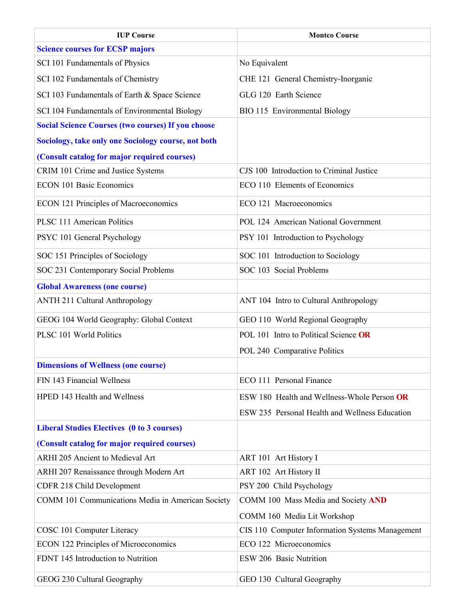| <b>IUP Course</b>                                         | <b>Montco Course</b>                            |
|-----------------------------------------------------------|-------------------------------------------------|
| <b>Science courses for ECSP majors</b>                    |                                                 |
| SCI 101 Fundamentals of Physics                           | No Equivalent                                   |
| SCI 102 Fundamentals of Chemistry                         | CHE 121 General Chemistry-Inorganic             |
| SCI 103 Fundamentals of Earth & Space Science             | GLG 120 Earth Science                           |
| SCI 104 Fundamentals of Environmental Biology             | BIO 115 Environmental Biology                   |
| <b>Social Science Courses (two courses) If you choose</b> |                                                 |
| Sociology, take only one Sociology course, not both       |                                                 |
| (Consult catalog for major required courses)              |                                                 |
| CRIM 101 Crime and Justice Systems                        | CJS 100 Introduction to Criminal Justice        |
| <b>ECON 101 Basic Economics</b>                           | ECO 110 Elements of Economics                   |
| <b>ECON 121 Principles of Macroeconomics</b>              | ECO 121 Macroeconomics                          |
| <b>PLSC 111 American Politics</b>                         | POL 124 American National Government            |
| PSYC 101 General Psychology                               | PSY 101 Introduction to Psychology              |
| SOC 151 Principles of Sociology                           | SOC 101 Introduction to Sociology               |
| SOC 231 Contemporary Social Problems                      | SOC 103 Social Problems                         |
| <b>Global Awareness (one course)</b>                      |                                                 |
| <b>ANTH 211 Cultural Anthropology</b>                     | ANT 104 Intro to Cultural Anthropology          |
| GEOG 104 World Geography: Global Context                  | GEO 110 World Regional Geography                |
| PLSC 101 World Politics                                   | POL 101 Intro to Political Science OR           |
|                                                           | POL 240 Comparative Politics                    |
| <b>Dimensions of Wellness (one course)</b>                |                                                 |
| FIN 143 Financial Wellness                                | ECO 111 Personal Finance                        |
| HPED 143 Health and Wellness                              | ESW 180 Health and Wellness-Whole Person OR     |
|                                                           | ESW 235 Personal Health and Wellness Education  |
| <b>Liberal Studies Electives (0 to 3 courses)</b>         |                                                 |
| (Consult catalog for major required courses)              |                                                 |
| <b>ARHI 205 Ancient to Medieval Art</b>                   | ART 101 Art History I                           |
| ARHI 207 Renaissance through Modern Art                   | ART 102 Art History II                          |
| CDFR 218 Child Development                                | PSY 200 Child Psychology                        |
| COMM 101 Communications Media in American Society         | COMM 100 Mass Media and Society AND             |
|                                                           | COMM 160 Media Lit Workshop                     |
| COSC 101 Computer Literacy                                | CIS 110 Computer Information Systems Management |
| <b>ECON 122 Principles of Microeconomics</b>              | ECO 122 Microeconomics                          |
| FDNT 145 Introduction to Nutrition                        | ESW 206 Basic Nutrition                         |
| GEOG 230 Cultural Geography                               | GEO 130 Cultural Geography                      |